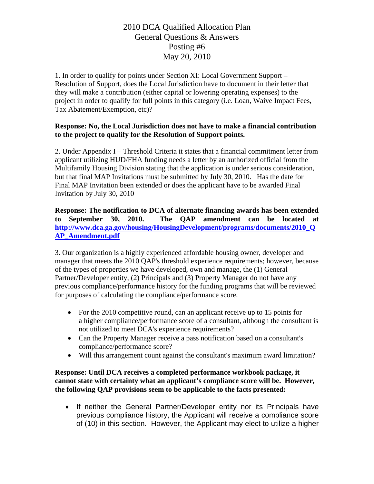1. In order to qualify for points under Section XI: Local Government Support – Resolution of Support, does the Local Jurisdiction have to document in their letter that they will make a contribution (either capital or lowering operating expenses) to the project in order to qualify for full points in this category (i.e. Loan, Waive Impact Fees, Tax Abatement/Exemption, etc)?

#### **Response: No, the Local Jurisdiction does not have to make a financial contribution to the project to qualify for the Resolution of Support points.**

2. Under Appendix I – Threshold Criteria it states that a financial commitment letter from applicant utilizing HUD/FHA funding needs a letter by an authorized official from the Multifamily Housing Division stating that the application is under serious consideration, but that final MAP Invitations must be submitted by July 30, 2010. Has the date for Final MAP Invitation been extended or does the applicant have to be awarded Final Invitation by July 30, 2010

**Response: The notification to DCA of alternate financing awards has been extended to September 30, 2010. The QAP amendment can be located at [http://www.dca.ga.gov/housing/HousingDevelopment/programs/documents/2010\\_Q](http://www.dca.ga.gov/housing/HousingDevelopment/programs/documents/2010_QAP_Amendment.pdf) [AP\\_Amendment.pdf](http://www.dca.ga.gov/housing/HousingDevelopment/programs/documents/2010_QAP_Amendment.pdf)**

3. Our organization is a highly experienced affordable housing owner, developer and manager that meets the 2010 QAP's threshold experience requirements; however, because of the types of properties we have developed, own and manage, the (1) General Partner/Developer entity, (2) Principals and (3) Property Manager do not have any previous compliance/performance history for the funding programs that will be reviewed for purposes of calculating the compliance/performance score.

- For the 2010 competitive round, can an applicant receive up to 15 points for a higher compliance/performance score of a consultant, although the consultant is not utilized to meet DCA's experience requirements?
- Can the Property Manager receive a pass notification based on a consultant's compliance/performance score?
- Will this arrangement count against the consultant's maximum award limitation?

### **Response: Until DCA receives a completed performance workbook package, it cannot state with certainty what an applicant's compliance score will be. However, the following QAP provisions seem to be applicable to the facts presented:**

• If neither the General Partner/Developer entity nor its Principals have previous compliance history, the Applicant will receive a compliance score of (10) in this section. However, the Applicant may elect to utilize a higher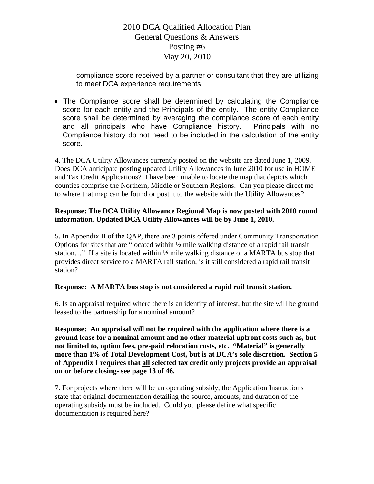compliance score received by a partner or consultant that they are utilizing to meet DCA experience requirements.

• The Compliance score shall be determined by calculating the Compliance score for each entity and the Principals of the entity. The entity Compliance score shall be determined by averaging the compliance score of each entity and all principals who have Compliance history. Principals with no Compliance history do not need to be included in the calculation of the entity score.

4. The DCA Utility Allowances currently posted on the website are dated June 1, 2009. Does DCA anticipate posting updated Utility Allowances in June 2010 for use in HOME and Tax Credit Applications? I have been unable to locate the map that depicts which counties comprise the Northern, Middle or Southern Regions. Can you please direct me to where that map can be found or post it to the website with the Utility Allowances?

### **Response: The DCA Utility Allowance Regional Map is now posted with 2010 round information. Updated DCA Utility Allowances will be by June 1, 2010.**

5. In Appendix II of the QAP, there are 3 points offered under Community Transportation Options for sites that are "located within ½ mile walking distance of a rapid rail transit station..." If a site is located within  $\frac{1}{2}$  mile walking distance of a MARTA bus stop that provides direct service to a MARTA rail station, is it still considered a rapid rail transit station?

### **Response: A MARTA bus stop is not considered a rapid rail transit station.**

6. Is an appraisal required where there is an identity of interest, but the site will be ground leased to the partnership for a nominal amount?

**Response: An appraisal will not be required with the application where there is a ground lease for a nominal amount and no other material upfront costs such as, but not limited to, option fees, pre-paid relocation costs, etc. "Material" is generally more than 1% of Total Development Cost, but is at DCA's sole discretion. Section 5 of Appendix I requires that all selected tax credit only projects provide an appraisal on or before closing- see page 13 of 46.** 

7. For projects where there will be an operating subsidy, the Application Instructions state that original documentation detailing the source, amounts, and duration of the operating subsidy must be included. Could you please define what specific documentation is required here?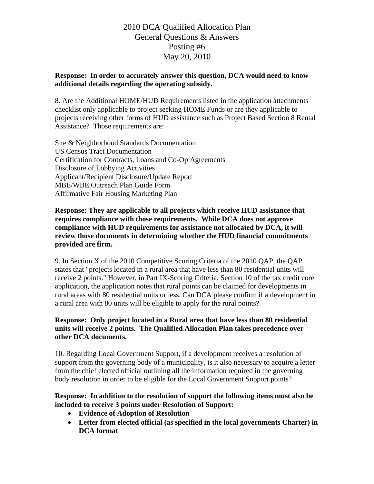#### **Response: In order to accurately answer this question, DCA would need to know additional details regarding the operating subsidy.**

8. Are the Additional HOME/HUD Requirements listed in the application attachments checklist only applicable to project seeking HOME Funds or are they applicable to projects receiving other forms of HUD assistance such as Project Based Section 8 Rental Assistance? Those requirements are:

Site & Neighborhood Standards Documentation US Census Tract Documentation Certification for Contracts, Loans and Co-Op Agreements Disclosure of Lobbying Activities Applicant/Recipient Disclosure/Update Report MBE/WBE Outreach Plan Guide Form Affirmative Fair Housing Marketing Plan

**Response: They are applicable to all projects which receive HUD assistance that requires compliance with those requirements. While DCA does not approve compliance with HUD requirements for assistance not allocated by DCA, it will review those documents in determining whether the HUD financial commitments provided are firm.** 

9. In Section X of the 2010 Competitive Scoring Criteria of the 2010 QAP, the QAP states that "projects located in a rural area that have less than 80 residential units will receive 2 points." However, in Part IX-Scoring Criteria, Section 10 of the tax credit core application, the application notes that rural points can be claimed for developments in rural areas with 80 residential units or less. Can DCA please confirm if a development in a rural area with 80 units will be eligible to apply for the rural points?

#### **Response: Only project located in a Rural area that have less than 80 residential units will receive 2 points. The Qualified Allocation Plan takes precedence over other DCA documents.**

10. Regarding Local Government Support, if a development receives a resolution of support from the governing body of a municipality, is it also necessary to acquire a letter from the chief elected official outlining all the information required in the governing body resolution in order to be eligible for the Local Government Support points?

### **Response: In addition to the resolution of support the following items must also be included to receive 3 points under Resolution of Support:**

- **Evidence of Adoption of Resolution**
- **Letter from elected official (as specified in the local governments Charter) in DCA format**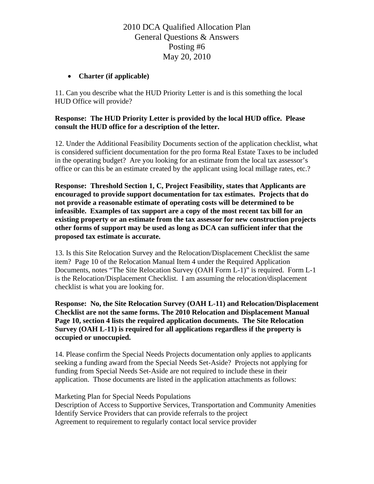## • **Charter (if applicable)**

11. Can you describe what the HUD Priority Letter is and is this something the local HUD Office will provide?

### **Response: The HUD Priority Letter is provided by the local HUD office. Please consult the HUD office for a description of the letter.**

12. Under the Additional Feasibility Documents section of the application checklist, what is considered sufficient documentation for the pro forma Real Estate Taxes to be included in the operating budget? Are you looking for an estimate from the local tax assessor's office or can this be an estimate created by the applicant using local millage rates, etc.?

**Response: Threshold Section 1, C, Project Feasibility, states that Applicants are encouraged to provide support documentation for tax estimates. Projects that do not provide a reasonable estimate of operating costs will be determined to be infeasible. Examples of tax support are a copy of the most recent tax bill for an existing property or an estimate from the tax assessor for new construction projects other forms of support may be used as long as DCA can sufficient infer that the proposed tax estimate is accurate.** 

13. Is this Site Relocation Survey and the Relocation/Displacement Checklist the same item? Page 10 of the Relocation Manual Item 4 under the Required Application Documents, notes "The Site Relocation Survey (OAH Form L-1)" is required. Form L-1 is the Relocation/Displacement Checklist. I am assuming the relocation/displacement checklist is what you are looking for.

**Response: No, the Site Relocation Survey (OAH L-11) and Relocation/Displacement Checklist are not the same forms. The 2010 Relocation and Displacement Manual Page 10, section 4 lists the required application documents. The Site Relocation Survey (OAH L-11) is required for all applications regardless if the property is occupied or unoccupied.** 

14. Please confirm the Special Needs Projects documentation only applies to applicants seeking a funding award from the Special Needs Set-Aside? Projects not applying for funding from Special Needs Set-Aside are not required to include these in their application. Those documents are listed in the application attachments as follows:

Marketing Plan for Special Needs Populations

Description of Access to Supportive Services, Transportation and Community Amenities Identify Service Providers that can provide referrals to the project Agreement to requirement to regularly contact local service provider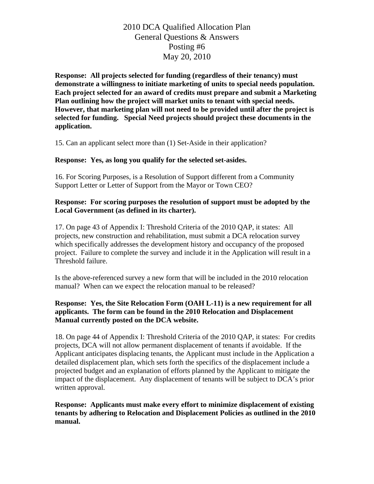**Response: All projects selected for funding (regardless of their tenancy) must demonstrate a willingness to initiate marketing of units to special needs population. Each project selected for an award of credits must prepare and submit a Marketing Plan outlining how the project will market units to tenant with special needs. However, that marketing plan will not need to be provided until after the project is selected for funding. Special Need projects should project these documents in the application.** 

15. Can an applicant select more than (1) Set-Aside in their application?

### **Response: Yes, as long you qualify for the selected set-asides.**

16. For Scoring Purposes, is a Resolution of Support different from a Community Support Letter or Letter of Support from the Mayor or Town CEO?

#### **Response: For scoring purposes the resolution of support must be adopted by the Local Government (as defined in its charter).**

17. On page 43 of Appendix I: Threshold Criteria of the 2010 QAP, it states: All projects, new construction and rehabilitation, must submit a DCA relocation survey which specifically addresses the development history and occupancy of the proposed project. Failure to complete the survey and include it in the Application will result in a Threshold failure.

Is the above-referenced survey a new form that will be included in the 2010 relocation manual? When can we expect the relocation manual to be released?

### **Response: Yes, the Site Relocation Form (OAH L-11) is a new requirement for all applicants. The form can be found in the 2010 Relocation and Displacement Manual currently posted on the DCA website.**

18. On page 44 of Appendix I: Threshold Criteria of the 2010 QAP, it states: For credits projects, DCA will not allow permanent displacement of tenants if avoidable. If the Applicant anticipates displacing tenants, the Applicant must include in the Application a detailed displacement plan, which sets forth the specifics of the displacement include a projected budget and an explanation of efforts planned by the Applicant to mitigate the impact of the displacement. Any displacement of tenants will be subject to DCA's prior written approval.

**Response: Applicants must make every effort to minimize displacement of existing tenants by adhering to Relocation and Displacement Policies as outlined in the 2010 manual.**